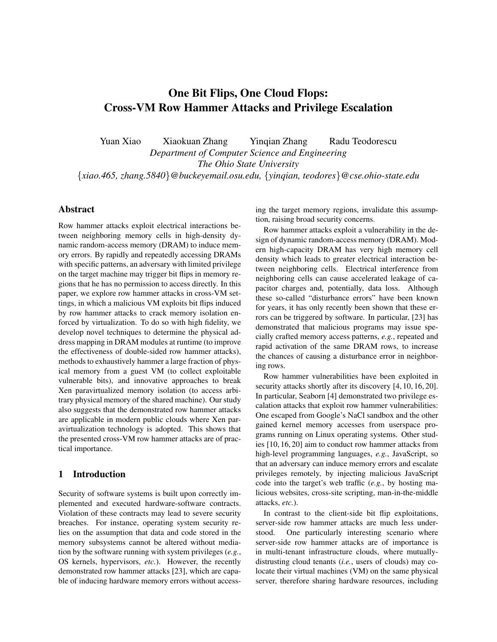# One Bit Flips, One Cloud Flops: Cross-VM Row Hammer Attacks and Privilege Escalation

Yuan Xiao Xiaokuan Zhang Yinqian Zhang Radu Teodorescu *Department of Computer Science and Engineering*

*The Ohio State University*

{*xiao.465, zhang.5840*}*@buckeyemail.osu.edu,* {*yinqian, teodores*}*@cse.ohio-state.edu*

# Abstract

Row hammer attacks exploit electrical interactions between neighboring memory cells in high-density dynamic random-access memory (DRAM) to induce memory errors. By rapidly and repeatedly accessing DRAMs with specific patterns, an adversary with limited privilege on the target machine may trigger bit flips in memory regions that he has no permission to access directly. In this paper, we explore row hammer attacks in cross-VM settings, in which a malicious VM exploits bit flips induced by row hammer attacks to crack memory isolation enforced by virtualization. To do so with high fidelity, we develop novel techniques to determine the physical address mapping in DRAM modules at runtime (to improve the effectiveness of double-sided row hammer attacks), methods to exhaustively hammer a large fraction of physical memory from a guest VM (to collect exploitable vulnerable bits), and innovative approaches to break Xen paravirtualized memory isolation (to access arbitrary physical memory of the shared machine). Our study also suggests that the demonstrated row hammer attacks are applicable in modern public clouds where Xen paravirtualization technology is adopted. This shows that the presented cross-VM row hammer attacks are of practical importance.

## 1 Introduction

Security of software systems is built upon correctly implemented and executed hardware-software contracts. Violation of these contracts may lead to severe security breaches. For instance, operating system security relies on the assumption that data and code stored in the memory subsystems cannot be altered without mediation by the software running with system privileges (*e.g.*, OS kernels, hypervisors, *etc.*). However, the recently demonstrated row hammer attacks [23], which are capable of inducing hardware memory errors without accessing the target memory regions, invalidate this assumption, raising broad security concerns.

Row hammer attacks exploit a vulnerability in the design of dynamic random-access memory (DRAM). Modern high-capacity DRAM has very high memory cell density which leads to greater electrical interaction between neighboring cells. Electrical interference from neighboring cells can cause accelerated leakage of capacitor charges and, potentially, data loss. Although these so-called "disturbance errors" have been known for years, it has only recently been shown that these errors can be triggered by software. In particular, [23] has demonstrated that malicious programs may issue specially crafted memory access patterns, *e.g.*, repeated and rapid activation of the same DRAM rows, to increase the chances of causing a disturbance error in neighboring rows.

Row hammer vulnerabilities have been exploited in security attacks shortly after its discovery [4, 10, 16, 20]. In particular, Seaborn [4] demonstrated two privilege escalation attacks that exploit row hammer vulnerabilities: One escaped from Google's NaCl sandbox and the other gained kernel memory accesses from userspace programs running on Linux operating systems. Other studies [10, 16, 20] aim to conduct row hammer attacks from high-level programming languages, *e.g.*, JavaScript, so that an adversary can induce memory errors and escalate privileges remotely, by injecting malicious JavaScript code into the target's web traffic (*e.g.*, by hosting malicious websites, cross-site scripting, man-in-the-middle attacks, *etc.*).

In contrast to the client-side bit flip exploitations, server-side row hammer attacks are much less understood. One particularly interesting scenario where server-side row hammer attacks are of importance is in multi-tenant infrastructure clouds, where mutuallydistrusting cloud tenants (*i.e.*, users of clouds) may colocate their virtual machines (VM) on the same physical server, therefore sharing hardware resources, including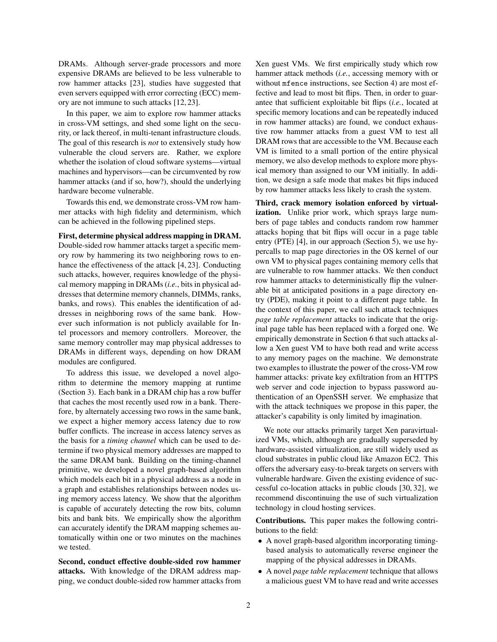DRAMs. Although server-grade processors and more expensive DRAMs are believed to be less vulnerable to row hammer attacks [23], studies have suggested that even servers equipped with error correcting (ECC) memory are not immune to such attacks [12, 23].

In this paper, we aim to explore row hammer attacks in cross-VM settings, and shed some light on the security, or lack thereof, in multi-tenant infrastructure clouds. The goal of this research is *not* to extensively study how vulnerable the cloud servers are. Rather, we explore whether the isolation of cloud software systems—virtual machines and hypervisors—can be circumvented by row hammer attacks (and if so, how?), should the underlying hardware become vulnerable.

Towards this end, we demonstrate cross-VM row hammer attacks with high fidelity and determinism, which can be achieved in the following pipelined steps.

First, determine physical address mapping in DRAM. Double-sided row hammer attacks target a specific memory row by hammering its two neighboring rows to enhance the effectiveness of the attack [4, 23]. Conducting such attacks, however, requires knowledge of the physical memory mapping in DRAMs (*i.e.*, bits in physical addresses that determine memory channels, DIMMs, ranks, banks, and rows). This enables the identification of addresses in neighboring rows of the same bank. However such information is not publicly available for Intel processors and memory controllers. Moreover, the same memory controller may map physical addresses to DRAMs in different ways, depending on how DRAM modules are configured.

To address this issue, we developed a novel algorithm to determine the memory mapping at runtime (Section 3). Each bank in a DRAM chip has a row buffer that caches the most recently used row in a bank. Therefore, by alternately accessing two rows in the same bank, we expect a higher memory access latency due to row buffer conflicts. The increase in access latency serves as the basis for a *timing channel* which can be used to determine if two physical memory addresses are mapped to the same DRAM bank. Building on the timing-channel primitive, we developed a novel graph-based algorithm which models each bit in a physical address as a node in a graph and establishes relationships between nodes using memory access latency. We show that the algorithm is capable of accurately detecting the row bits, column bits and bank bits. We empirically show the algorithm can accurately identify the DRAM mapping schemes automatically within one or two minutes on the machines we tested.

Second, conduct effective double-sided row hammer attacks. With knowledge of the DRAM address mapping, we conduct double-sided row hammer attacks from Xen guest VMs. We first empirically study which row hammer attack methods (*i.e.*, accessing memory with or without mfence instructions, see Section 4) are most effective and lead to most bit flips. Then, in order to guarantee that sufficient exploitable bit flips (*i.e.*, located at specific memory locations and can be repeatedly induced in row hammer attacks) are found, we conduct exhaustive row hammer attacks from a guest VM to test all DRAM rows that are accessible to the VM. Because each VM is limited to a small portion of the entire physical memory, we also develop methods to explore more physical memory than assigned to our VM initially. In addition, we design a safe mode that makes bit flips induced by row hammer attacks less likely to crash the system.

Third, crack memory isolation enforced by virtualization. Unlike prior work, which sprays large numbers of page tables and conducts random row hammer attacks hoping that bit flips will occur in a page table entry (PTE) [4], in our approach (Section 5), we use hypercalls to map page directories in the OS kernel of our own VM to physical pages containing memory cells that are vulnerable to row hammer attacks. We then conduct row hammer attacks to deterministically flip the vulnerable bit at anticipated positions in a page directory entry (PDE), making it point to a different page table. In the context of this paper, we call such attack techniques *page table replacement* attacks to indicate that the original page table has been replaced with a forged one. We empirically demonstrate in Section 6 that such attacks allow a Xen guest VM to have both read and write access to any memory pages on the machine. We demonstrate two examples to illustrate the power of the cross-VM row hammer attacks: private key exfiltration from an HTTPS web server and code injection to bypass password authentication of an OpenSSH server. We emphasize that with the attack techniques we propose in this paper, the attacker's capability is only limited by imagination.

We note our attacks primarily target Xen paravirtualized VMs, which, although are gradually superseded by hardware-assisted virtualization, are still widely used as cloud substrates in public cloud like Amazon EC2. This offers the adversary easy-to-break targets on servers with vulnerable hardware. Given the existing evidence of successful co-location attacks in public clouds [30, 32], we recommend discontinuing the use of such virtualization technology in cloud hosting services.

Contributions. This paper makes the following contributions to the field:

- A novel graph-based algorithm incorporating timingbased analysis to automatically reverse engineer the mapping of the physical addresses in DRAMs.
- A novel *page table replacement* technique that allows a malicious guest VM to have read and write accesses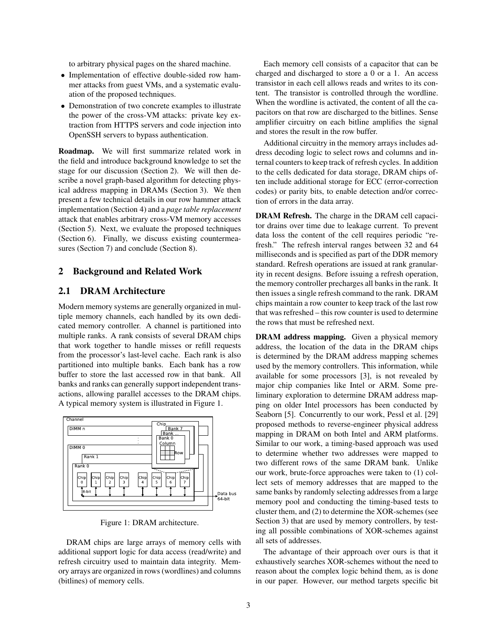to arbitrary physical pages on the shared machine.

- Implementation of effective double-sided row hammer attacks from guest VMs, and a systematic evaluation of the proposed techniques.
- Demonstration of two concrete examples to illustrate the power of the cross-VM attacks: private key extraction from HTTPS servers and code injection into OpenSSH servers to bypass authentication.

Roadmap. We will first summarize related work in the field and introduce background knowledge to set the stage for our discussion (Section 2). We will then describe a novel graph-based algorithm for detecting physical address mapping in DRAMs (Section 3). We then present a few technical details in our row hammer attack implementation (Section 4) and a *page table replacement* attack that enables arbitrary cross-VM memory accesses (Section 5). Next, we evaluate the proposed techniques (Section 6). Finally, we discuss existing countermeasures (Section 7) and conclude (Section 8).

#### 2 Background and Related Work

# 2.1 DRAM Architecture

Modern memory systems are generally organized in multiple memory channels, each handled by its own dedicated memory controller. A channel is partitioned into multiple ranks. A rank consists of several DRAM chips that work together to handle misses or refill requests from the processor's last-level cache. Each rank is also partitioned into multiple banks. Each bank has a row buffer to store the last accessed row in that bank. All banks and ranks can generally support independent transactions, allowing parallel accesses to the DRAM chips. A typical memory system is illustrated in Figure 1.



Figure 1: DRAM architecture.

DRAM chips are large arrays of memory cells with additional support logic for data access (read/write) and refresh circuitry used to maintain data integrity. Memory arrays are organized in rows (wordlines) and columns (bitlines) of memory cells.

Each memory cell consists of a capacitor that can be charged and discharged to store a 0 or a 1. An access transistor in each cell allows reads and writes to its content. The transistor is controlled through the wordline. When the wordline is activated, the content of all the capacitors on that row are discharged to the bitlines. Sense amplifier circuitry on each bitline amplifies the signal and stores the result in the row buffer.

Additional circuitry in the memory arrays includes address decoding logic to select rows and columns and internal counters to keep track of refresh cycles. In addition to the cells dedicated for data storage, DRAM chips often include additional storage for ECC (error-correction codes) or parity bits, to enable detection and/or correction of errors in the data array.

DRAM Refresh. The charge in the DRAM cell capacitor drains over time due to leakage current. To prevent data loss the content of the cell requires periodic "refresh." The refresh interval ranges between 32 and 64 milliseconds and is specified as part of the DDR memory standard. Refresh operations are issued at rank granularity in recent designs. Before issuing a refresh operation, the memory controller precharges all banks in the rank. It then issues a single refresh command to the rank. DRAM chips maintain a row counter to keep track of the last row that was refreshed – this row counter is used to determine the rows that must be refreshed next.

DRAM address mapping. Given a physical memory address, the location of the data in the DRAM chips is determined by the DRAM address mapping schemes used by the memory controllers. This information, while available for some processors [3], is not revealed by major chip companies like Intel or ARM. Some preliminary exploration to determine DRAM address mapping on older Intel processors has been conducted by Seaborn [5]. Concurrently to our work, Pessl et al. [29] proposed methods to reverse-engineer physical address mapping in DRAM on both Intel and ARM platforms. Similar to our work, a timing-based approach was used to determine whether two addresses were mapped to two different rows of the same DRAM bank. Unlike our work, brute-force approaches were taken to (1) collect sets of memory addresses that are mapped to the same banks by randomly selecting addresses from a large memory pool and conducting the timing-based tests to cluster them, and (2) to determine the XOR-schemes (see Section 3) that are used by memory controllers, by testing all possible combinations of XOR-schemes against all sets of addresses.

The advantage of their approach over ours is that it exhaustively searches XOR-schemes without the need to reason about the complex logic behind them, as is done in our paper. However, our method targets specific bit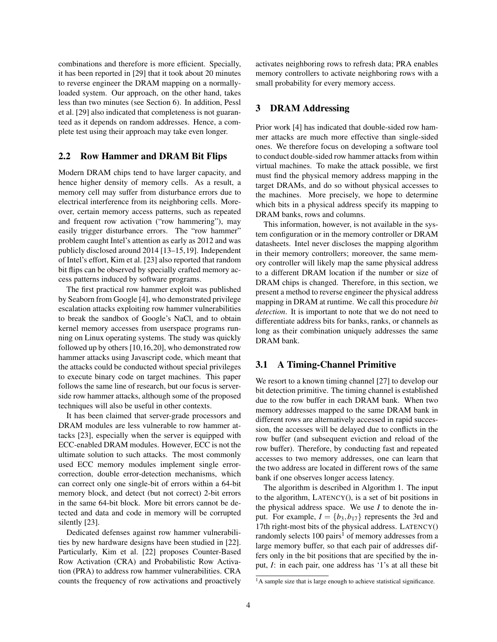combinations and therefore is more efficient. Specially, it has been reported in [29] that it took about 20 minutes to reverse engineer the DRAM mapping on a normallyloaded system. Our approach, on the other hand, takes less than two minutes (see Section 6). In addition, Pessl et al. [29] also indicated that completeness is not guaranteed as it depends on random addresses. Hence, a complete test using their approach may take even longer.

#### 2.2 Row Hammer and DRAM Bit Flips

Modern DRAM chips tend to have larger capacity, and hence higher density of memory cells. As a result, a memory cell may suffer from disturbance errors due to electrical interference from its neighboring cells. Moreover, certain memory access patterns, such as repeated and frequent row activation ("row hammering"), may easily trigger disturbance errors. The "row hammer" problem caught Intel's attention as early as 2012 and was publicly disclosed around 2014 [13–15,19]. Independent of Intel's effort, Kim et al. [23] also reported that random bit flips can be observed by specially crafted memory access patterns induced by software programs.

The first practical row hammer exploit was published by Seaborn from Google [4], who demonstrated privilege escalation attacks exploiting row hammer vulnerabilities to break the sandbox of Google's NaCl, and to obtain kernel memory accesses from userspace programs running on Linux operating systems. The study was quickly followed up by others [10,16,20], who demonstrated row hammer attacks using Javascript code, which meant that the attacks could be conducted without special privileges to execute binary code on target machines. This paper follows the same line of research, but our focus is serverside row hammer attacks, although some of the proposed techniques will also be useful in other contexts.

It has been claimed that server-grade processors and DRAM modules are less vulnerable to row hammer attacks [23], especially when the server is equipped with ECC-enabled DRAM modules. However, ECC is not the ultimate solution to such attacks. The most commonly used ECC memory modules implement single errorcorrection, double error-detection mechanisms, which can correct only one single-bit of errors within a 64-bit memory block, and detect (but not correct) 2-bit errors in the same 64-bit block. More bit errors cannot be detected and data and code in memory will be corrupted silently [23].

Dedicated defenses against row hammer vulnerabilities by new hardware designs have been studied in [22]. Particularly, Kim et al. [22] proposes Counter-Based Row Activation (CRA) and Probabilistic Row Activation (PRA) to address row hammer vulnerabilities. CRA counts the frequency of row activations and proactively activates neighboring rows to refresh data; PRA enables memory controllers to activate neighboring rows with a small probability for every memory access.

## 3 DRAM Addressing

Prior work [4] has indicated that double-sided row hammer attacks are much more effective than single-sided ones. We therefore focus on developing a software tool to conduct double-sided row hammer attacks from within virtual machines. To make the attack possible, we first must find the physical memory address mapping in the target DRAMs, and do so without physical accesses to the machines. More precisely, we hope to determine which bits in a physical address specify its mapping to DRAM banks, rows and columns.

This information, however, is not available in the system configuration or in the memory controller or DRAM datasheets. Intel never discloses the mapping algorithm in their memory controllers; moreover, the same memory controller will likely map the same physical address to a different DRAM location if the number or size of DRAM chips is changed. Therefore, in this section, we present a method to reverse engineer the physical address mapping in DRAM at runtime. We call this procedure *bit detection*. It is important to note that we do not need to differentiate address bits for banks, ranks, or channels as long as their combination uniquely addresses the same DRAM bank.

#### 3.1 A Timing-Channel Primitive

We resort to a known timing channel [27] to develop our bit detection primitive. The timing channel is established due to the row buffer in each DRAM bank. When two memory addresses mapped to the same DRAM bank in different rows are alternatively accessed in rapid succession, the accesses will be delayed due to conflicts in the row buffer (and subsequent eviction and reload of the row buffer). Therefore, by conducting fast and repeated accesses to two memory addresses, one can learn that the two address are located in different rows of the same bank if one observes longer access latency.

The algorithm is described in Algorithm 1. The input to the algorithm, LATENCY(), is a set of bit positions in the physical address space. We use *I* to denote the input. For example,  $I = \{b_3, b_{17}\}\$  represents the 3rd and 17th right-most bits of the physical address. LATENCY() randomly selects  $100 \text{ pairs}^1$  of memory addresses from a large memory buffer, so that each pair of addresses differs only in the bit positions that are specified by the input, *I*: in each pair, one address has '1's at all these bit

<sup>&</sup>lt;sup>1</sup>A sample size that is large enough to achieve statistical significance.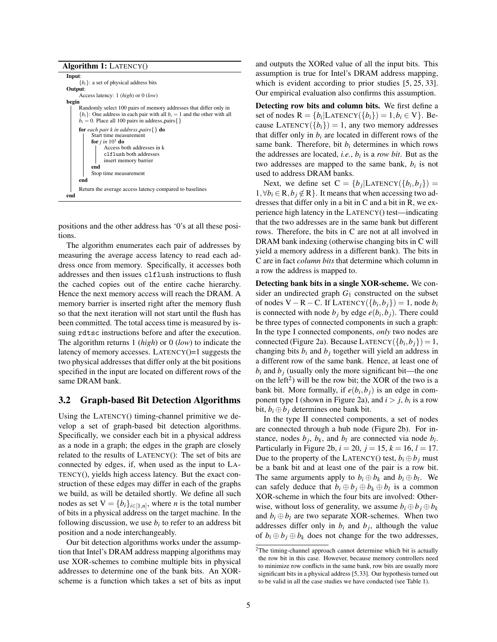Algorithm 1: LATENCY()

| Input:                                                                       |
|------------------------------------------------------------------------------|
| ${b_i}$ : a set of physical address bits                                     |
| Output:                                                                      |
| Access latency: $1 (high)$ or $0 (low)$                                      |
| begin                                                                        |
| Randomly select 100 pairs of memory addresses that differ only in            |
| ${b_i}$ : One address in each pair with all $b_i = 1$ and the other with all |
| $b_i = 0$ . Place all 100 pairs in address_pairs { }                         |
| <b>for</b> each pair k in address_pairs $\{ \}$ <b>do</b>                    |
| Start time measurement                                                       |
| for $j$ in $10^3$ do                                                         |
| Access both addresses in k                                                   |
| clflush both addresses                                                       |
| insert memory barrier                                                        |
| end                                                                          |
| Stop time measurement                                                        |
| end                                                                          |
|                                                                              |
| Return the average access latency compared to baselines                      |
| end                                                                          |

positions and the other address has '0's at all these positions.

The algorithm enumerates each pair of addresses by measuring the average access latency to read each address once from memory. Specifically, it accesses both addresses and then issues clflush instructions to flush the cached copies out of the entire cache hierarchy. Hence the next memory access will reach the DRAM. A memory barrier is inserted right after the memory flush so that the next iteration will not start until the flush has been committed. The total access time is measured by issuing rdtsc instructions before and after the execution. The algorithm returns 1 (*high*) or 0 (*low*) to indicate the latency of memory accesses. LATENCY()=1 suggests the two physical addresses that differ only at the bit positions specified in the input are located on different rows of the same DRAM bank.

# 3.2 Graph-based Bit Detection Algorithms

Using the LATENCY() timing-channel primitive we develop a set of graph-based bit detection algorithms. Specifically, we consider each bit in a physical address as a node in a graph; the edges in the graph are closely related to the results of LATENCY(): The set of bits are connected by edges, if, when used as the input to LA-TENCY(), yields high access latency. But the exact construction of these edges may differ in each of the graphs we build, as will be detailed shortly. We define all such nodes as set  $V = \{b_i\}_{i \in [1,n]}$ , where *n* is the total number of bits in a physical address on the target machine. In the following discussion, we use  $b_i$  to refer to an address bit position and a node interchangeably.

Our bit detection algorithms works under the assumption that Intel's DRAM address mapping algorithms may use XOR-schemes to combine multiple bits in physical addresses to determine one of the bank bits. An XORscheme is a function which takes a set of bits as input and outputs the XORed value of all the input bits. This assumption is true for Intel's DRAM address mapping, which is evident according to prior studies [5, 25, 33]. Our empirical evaluation also confirms this assumption.

Detecting row bits and column bits. We first define a set of nodes  $R = \{b_i | \text{LATENCY}(\{b_i\}) = 1, b_i \in V\}$ . Because LATENCY( ${b_i}$ ) = 1, any two memory addresses that differ only in  $b_i$  are located in different rows of the same bank. Therefore, bit  $b_i$  determines in which rows the addresses are located, *i.e.*, *b<sup>i</sup>* is a *row bit*. But as the two addresses are mapped to the same bank,  $b_i$  is not used to address DRAM banks.

Next, we define set  $C = \{b_j | \text{LATENCY}(\{b_i, b_j\}) =$  $1, \forall b_i \in \mathbb{R}, b_i \notin \mathbb{R}$ . It means that when accessing two addresses that differ only in a bit in C and a bit in R, we experience high latency in the LATENCY() test—indicating that the two addresses are in the same bank but different rows. Therefore, the bits in C are not at all involved in DRAM bank indexing (otherwise changing bits in C will yield a memory address in a different bank). The bits in C are in fact *column bits* that determine which column in a row the address is mapped to.

Detecting bank bits in a single XOR-scheme. We consider an undirected graph  $G_1$  constructed on the subset of nodes V − R − C. If LATENCY( ${b_i, b_j}$ ) = 1, node  $b_i$ is connected with node  $b_j$  by edge  $e(b_i, b_j)$ . There could be three types of connected components in such a graph: In the type I connected components, *only* two nodes are connected (Figure 2a). Because  $L$ ATENCY $({b_i, b_j}) = 1$ , changing bits  $b_i$  and  $b_j$  together will yield an address in a different row of the same bank. Hence, at least one of  $b_i$  and  $b_j$  (usually only the more significant bit—the one on the left<sup>2</sup>) will be the row bit; the XOR of the two is a bank bit. More formally, if  $e(b_i, b_j)$  is an edge in component type I (shown in Figure 2a), and  $i > j$ ,  $b_i$  is a row bit,  $b_i \oplus b_j$  determines one bank bit.

In the type II connected components, a set of nodes are connected through a hub node (Figure 2b). For instance, nodes  $b_j$ ,  $b_k$ , and  $b_l$  are connected via node  $b_i$ . Particularly in Figure 2b,  $i = 20$ ,  $j = 15$ ,  $k = 16$ ,  $l = 17$ . Due to the property of the LATENCY() test,  $b_i \oplus b_j$  must be a bank bit and at least one of the pair is a row bit. The same arguments apply to  $b_i \oplus b_k$  and  $b_i \oplus b_l$ . We can safely deduce that  $b_i \oplus b_j \oplus b_k \oplus b_l$  is a common XOR-scheme in which the four bits are involved: Otherwise, without loss of generality, we assume  $b_i \oplus b_j \oplus b_k$ and  $b_i \oplus b_j$  are two separate XOR-schemes. When two addresses differ only in  $b_i$  and  $b_j$ , although the value of  $b_i \oplus b_j \oplus b_k$  does not change for the two addresses,

<sup>&</sup>lt;sup>2</sup>The timing-channel approach cannot determine which bit is actually the row bit in this case. However, because memory controllers need to minimize row conflicts in the same bank, row bits are usually more significant bits in a physical address [5,33]. Our hypothesis turned out to be valid in all the case studies we have conducted (see Table 1).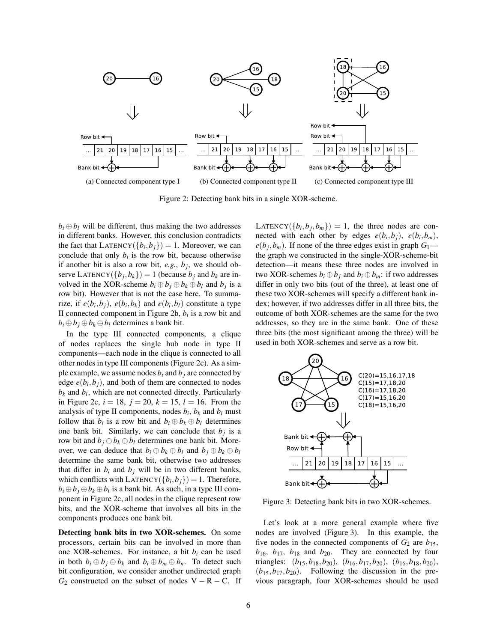

Figure 2: Detecting bank bits in a single XOR-scheme.

 $b_i \oplus b_j$  will be different, thus making the two addresses in different banks. However, this conclusion contradicts the fact that  $\text{LATENCY}(\{b_i, b_j\}) = 1$ . Moreover, we can conclude that only  $b_i$  is the row bit, because otherwise if another bit is also a row bit,  $e.g., b_j$ , we should observe LATENCY( $\{b_j, b_k\}$ ) = 1 (because  $b_j$  and  $b_k$  are involved in the XOR-scheme  $b_i \oplus b_j \oplus b_k \oplus b_l$  and  $b_j$  is a row bit). However that is not the case here. To summarize, if  $e(b_i, b_j)$ ,  $e(b_i, b_k)$  and  $e(b_i, b_l)$  constitute a type II connected component in Figure 2b, *b<sup>i</sup>* is a row bit and  $b_i \oplus b_j \oplus b_k \oplus b_l$  determines a bank bit.

In the type III connected components, a clique of nodes replaces the single hub node in type II components—each node in the clique is connected to all other nodes in type III components (Figure 2c). As a simple example, we assume nodes  $b_i$  and  $b_j$  are connected by edge  $e(b_i, b_j)$ , and both of them are connected to nodes  $b_k$  and  $b_l$ , which are not connected directly. Particularly in Figure 2c,  $i = 18$ ,  $j = 20$ ,  $k = 15$ ,  $l = 16$ . From the analysis of type II components, nodes  $b_i$ ,  $b_k$  and  $b_l$  must follow that  $b_i$  is a row bit and  $b_i \oplus b_k \oplus b_l$  determines one bank bit. Similarly, we can conclude that  $b_j$  is a row bit and  $b_j \oplus b_k \oplus b_l$  determines one bank bit. Moreover, we can deduce that  $b_i \oplus b_k \oplus b_l$  and  $b_j \oplus b_k \oplus b_l$ determine the same bank bit, otherwise two addresses that differ in  $b_i$  and  $b_j$  will be in two different banks, which conflicts with  $\text{LATENCY}(\{b_i, b_j\}) = 1$ . Therefore,  $b_i \oplus b_j \oplus b_k \oplus b_l$  is a bank bit. As such, in a type III component in Figure 2c, all nodes in the clique represent row bits, and the XOR-scheme that involves all bits in the components produces one bank bit.

Detecting bank bits in two XOR-schemes. On some processors, certain bits can be involved in more than one XOR-schemes. For instance, a bit  $b_i$  can be used in both  $b_i \oplus b_j \oplus b_k$  and  $b_i \oplus b_m \oplus b_n$ . To detect such bit configuration, we consider another undirected graph  $G_2$  constructed on the subset of nodes  $V - R - C$ . If

 $\text{LATENCY}(\{b_i, b_j, b_m\}) = 1$ , the three nodes are connected with each other by edges  $e(b_i, b_j)$ ,  $e(b_i, b_m)$ ,  $e(b_j, b_m)$ . If none of the three edges exist in graph  $G_1$  the graph we constructed in the single-XOR-scheme-bit detection—it means these three nodes are involved in two XOR-schemes  $b_i \oplus b_j$  and  $b_i \oplus b_m$ : if two addresses differ in only two bits (out of the three), at least one of these two XOR-schemes will specify a different bank index; however, if two addresses differ in all three bits, the outcome of both XOR-schemes are the same for the two addresses, so they are in the same bank. One of these three bits (the most significant among the three) will be used in both XOR-schemes and serve as a row bit.



Figure 3: Detecting bank bits in two XOR-schemes.

Let's look at a more general example where five nodes are involved (Figure 3). In this example, the five nodes in the connected components of  $G_2$  are  $b_{15}$ ,  $b_{16}$ ,  $b_{17}$ ,  $b_{18}$  and  $b_{20}$ . They are connected by four triangles: (*b*15,*b*18,*b*20), (*b*16,*b*17,*b*20), (*b*16,*b*18,*b*20),  $(b_{15}, b_{17}, b_{20})$ . Following the discussion in the previous paragraph, four XOR-schemes should be used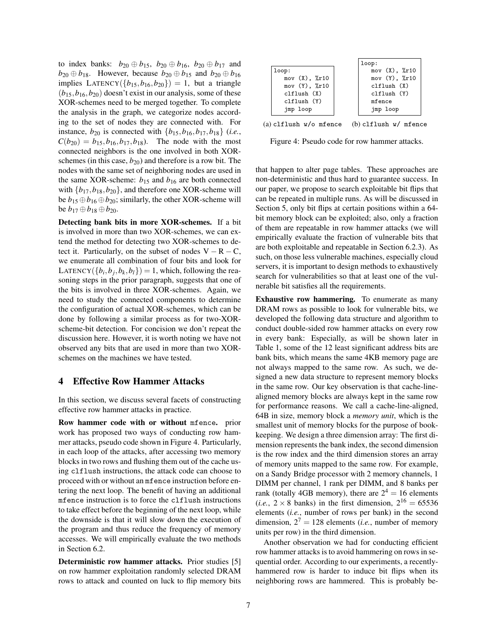to index banks:  $b_{20} \oplus b_{15}$ ,  $b_{20} \oplus b_{16}$ ,  $b_{20} \oplus b_{17}$  and *b*<sub>20</sub> ⊕ *b*<sub>18</sub>. However, because *b*<sub>20</sub> ⊕ *b*<sub>15</sub> and *b*<sub>20</sub> ⊕ *b*<sub>16</sub> implies LATENCY( $\{b_{15}, b_{16}, b_{20}\}$ ) = 1, but a triangle  $(b_{15}, b_{16}, b_{20})$  doesn't exist in our analysis, some of these XOR-schemes need to be merged together. To complete the analysis in the graph, we categorize nodes according to the set of nodes they are connected with. For instance,  $b_{20}$  is connected with  $\{b_{15}, b_{16}, b_{17}, b_{18}\}$  (*i.e.*,  $C(b_{20}) = b_{15}, b_{16}, b_{17}, b_{18}$ . The node with the most connected neighbors is the one involved in both XORschemes (in this case,  $b_{20}$ ) and therefore is a row bit. The nodes with the same set of neighboring nodes are used in the same XOR-scheme:  $b_{15}$  and  $b_{16}$  are both connected with  ${b_{17}, b_{18}, b_{20}}$ , and therefore one XOR-scheme will be  $b_{15} \oplus b_{16} \oplus b_{20}$ ; similarly, the other XOR-scheme will **be**  $b_{17} ⊕ b_{18} ⊕ b_{20}$ .

Detecting bank bits in more XOR-schemes. If a bit is involved in more than two XOR-schemes, we can extend the method for detecting two XOR-schemes to detect it. Particularly, on the subset of nodes  $V - R - C$ , we enumerate all combination of four bits and look for LATENCY $({b_i, b_j, b_k, b_l}) = 1$ , which, following the reasoning steps in the prior paragraph, suggests that one of the bits is involved in three XOR-schemes. Again, we need to study the connected components to determine the configuration of actual XOR-schemes, which can be done by following a similar process as for two-XORscheme-bit detection. For concision we don't repeat the discussion here. However, it is worth noting we have not observed any bits that are used in more than two XORschemes on the machines we have tested.

#### 4 Effective Row Hammer Attacks

In this section, we discuss several facets of constructing effective row hammer attacks in practice.

Row hammer code with or without mfence. prior work has proposed two ways of conducting row hammer attacks, pseudo code shown in Figure 4. Particularly, in each loop of the attacks, after accessing two memory blocks in two rows and flushing them out of the cache using clflush instructions, the attack code can choose to proceed with or without an mfence instruction before entering the next loop. The benefit of having an additional mfence instruction is to force the clflush instructions to take effect before the beginning of the next loop, while the downside is that it will slow down the execution of the program and thus reduce the frequency of memory accesses. We will empirically evaluate the two methods in Section 6.2.

Deterministic row hammer attacks. Prior studies [5] on row hammer exploitation randomly selected DRAM rows to attack and counted on luck to flip memory bits

|                              | loop:                        |
|------------------------------|------------------------------|
| loop:                        | mov $(X)$ , $\frac{9}{2}r10$ |
| mov $(X)$ , $\chi$ r10       | mov $(Y)$ , $\frac{9}{2}r10$ |
| mov $(Y)$ , $\frac{9}{2}r10$ | clflush(X)                   |
| clflush(X)                   | clflush(Y)                   |
| clflush(Y)                   | mfence                       |
| imp loop                     | jmp loop                     |
|                              |                              |

(a) clflush w/o mfence (b) clflush w/ mfence

Figure 4: Pseudo code for row hammer attacks.

that happen to alter page tables. These approaches are non-deterministic and thus hard to guarantee success. In our paper, we propose to search exploitable bit flips that can be repeated in multiple runs. As will be discussed in Section 5, only bit flips at certain positions within a 64 bit memory block can be exploited; also, only a fraction of them are repeatable in row hammer attacks (we will empirically evaluate the fraction of vulnerable bits that are both exploitable and repeatable in Section 6.2.3). As such, on those less vulnerable machines, especially cloud servers, it is important to design methods to exhaustively search for vulnerabilities so that at least one of the vulnerable bit satisfies all the requirements.

Exhaustive row hammering. To enumerate as many DRAM rows as possible to look for vulnerable bits, we developed the following data structure and algorithm to conduct double-sided row hammer attacks on every row in every bank: Especially, as will be shown later in Table 1, some of the 12 least significant address bits are bank bits, which means the same 4KB memory page are not always mapped to the same row. As such, we designed a new data structure to represent memory blocks in the same row. Our key observation is that cache-linealigned memory blocks are always kept in the same row for performance reasons. We call a cache-line-aligned, 64B in size, memory block a *memory unit*, which is the smallest unit of memory blocks for the purpose of bookkeeping. We design a three dimension array: The first dimension represents the bank index, the second dimension is the row index and the third dimension stores an array of memory units mapped to the same row. For example, on a Sandy Bridge processor with 2 memory channels, 1 DIMM per channel, 1 rank per DIMM, and 8 banks per rank (totally 4GB memory), there are  $2^4 = 16$  elements (*i.e.*,  $2 \times 8$  banks) in the first dimension,  $2^{16} = 65536$ elements (*i.e.*, number of rows per bank) in the second dimension,  $2^7 = 128$  elements (*i.e.*, number of memory units per row) in the third dimension.

Another observation we had for conducting efficient row hammer attacks is to avoid hammering on rows in sequential order. According to our experiments, a recentlyhammered row is harder to induce bit flips when its neighboring rows are hammered. This is probably be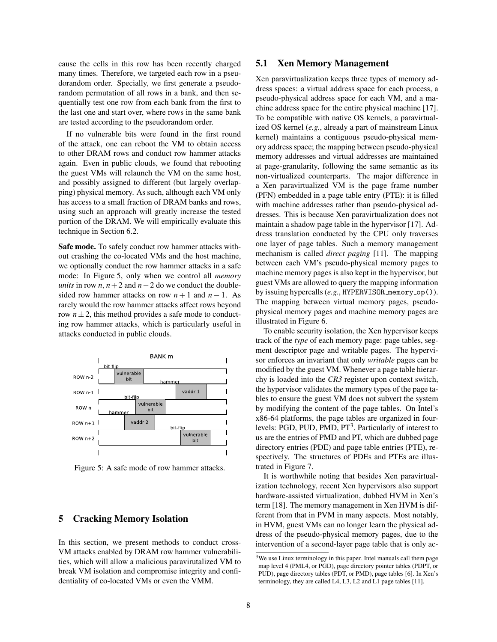cause the cells in this row has been recently charged many times. Therefore, we targeted each row in a pseudorandom order. Specially, we first generate a pseudorandom permutation of all rows in a bank, and then sequentially test one row from each bank from the first to the last one and start over, where rows in the same bank are tested according to the pseudorandom order.

If no vulnerable bits were found in the first round of the attack, one can reboot the VM to obtain access to other DRAM rows and conduct row hammer attacks again. Even in public clouds, we found that rebooting the guest VMs will relaunch the VM on the same host, and possibly assigned to different (but largely overlapping) physical memory. As such, although each VM only has access to a small fraction of DRAM banks and rows, using such an approach will greatly increase the tested portion of the DRAM. We will empirically evaluate this technique in Section 6.2.

Safe mode. To safely conduct row hammer attacks without crashing the co-located VMs and the host machine, we optionally conduct the row hammer attacks in a safe mode: In Figure 5, only when we control all *memory units* in row *n*,  $n + 2$  and  $n - 2$  do we conduct the doublesided row hammer attacks on row  $n + 1$  and  $n - 1$ . As rarely would the row hammer attacks affect rows beyond row  $n \pm 2$ , this method provides a safe mode to conducting row hammer attacks, which is particularly useful in attacks conducted in public clouds.



Figure 5: A safe mode of row hammer attacks.

# 5 Cracking Memory Isolation

In this section, we present methods to conduct cross-VM attacks enabled by DRAM row hammer vulnerabilities, which will allow a malicious paravirutalized VM to break VM isolation and compromise integrity and confidentiality of co-located VMs or even the VMM.

#### 5.1 Xen Memory Management

Xen paravirtualization keeps three types of memory address spaces: a virtual address space for each process, a pseudo-physical address space for each VM, and a machine address space for the entire physical machine [17]. To be compatible with native OS kernels, a paravirtualized OS kernel (*e.g.*, already a part of mainstream Linux kernel) maintains a contiguous pseudo-physical memory address space; the mapping between pseudo-physical memory addresses and virtual addresses are maintained at page-granularity, following the same semantic as its non-virtualized counterparts. The major difference in a Xen paravirtualized VM is the page frame number (PFN) embedded in a page table entry (PTE): it is filled with machine addresses rather than pseudo-physical addresses. This is because Xen paravirtualization does not maintain a shadow page table in the hypervisor [17]. Address translation conducted by the CPU only traverses one layer of page tables. Such a memory management mechanism is called *direct paging* [11]. The mapping between each VM's pseudo-physical memory pages to machine memory pages is also kept in the hypervisor, but guest VMs are allowed to query the mapping information by issuing hypercalls (e.g., HYPERVISOR\_memory\_op()). The mapping between virtual memory pages, pseudophysical memory pages and machine memory pages are illustrated in Figure 6.

To enable security isolation, the Xen hypervisor keeps track of the *type* of each memory page: page tables, segment descriptor page and writable pages. The hypervisor enforces an invariant that only *writable* pages can be modified by the guest VM. Whenever a page table hierarchy is loaded into the *CR3* register upon context switch, the hypervisor validates the memory types of the page tables to ensure the guest VM does not subvert the system by modifying the content of the page tables. On Intel's x86-64 platforms, the page tables are organized in fourlevels: PGD, PUD, PMD, PT<sup>3</sup>. Particularly of interest to us are the entries of PMD and PT, which are dubbed page directory entries (PDE) and page table entries (PTE), respectively. The structures of PDEs and PTEs are illustrated in Figure 7.

It is worthwhile noting that besides Xen paravirtualization technology, recent Xen hypervisors also support hardware-assisted virtualization, dubbed HVM in Xen's term [18]. The memory management in Xen HVM is different from that in PVM in many aspects. Most notably, in HVM, guest VMs can no longer learn the physical address of the pseudo-physical memory pages, due to the intervention of a second-layer page table that is only ac-

<sup>3</sup>We use Linux terminology in this paper. Intel manuals call them page map level 4 (PML4, or PGD), page directory pointer tables (PDPT, or PUD), page directory tables (PDT, or PMD), page tables [6]. In Xen's terminology, they are called L4, L3, L2 and L1 page tables [11].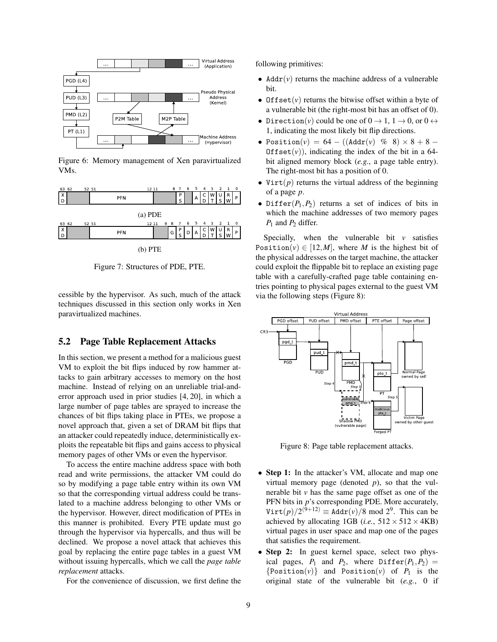

Figure 6: Memory management of Xen paravirtualized VMs.



Figure 7: Structures of PDE, PTE.

cessible by the hypervisor. As such, much of the attack techniques discussed in this section only works in Xen paravirtualized machines.

## 5.2 Page Table Replacement Attacks

In this section, we present a method for a malicious guest VM to exploit the bit flips induced by row hammer attacks to gain arbitrary accesses to memory on the host machine. Instead of relying on an unreliable trial-anderror approach used in prior studies [4, 20], in which a large number of page tables are sprayed to increase the chances of bit flips taking place in PTEs, we propose a novel approach that, given a set of DRAM bit flips that an attacker could repeatedly induce, deterministically exploits the repeatable bit flips and gains access to physical memory pages of other VMs or even the hypervisor.

To access the entire machine address space with both read and write permissions, the attacker VM could do so by modifying a page table entry within its own VM so that the corresponding virtual address could be translated to a machine address belonging to other VMs or the hypervisor. However, direct modification of PTEs in this manner is prohibited. Every PTE update must go through the hypervisor via hypercalls, and thus will be declined. We propose a novel attack that achieves this goal by replacing the entire page tables in a guest VM without issuing hypercalls, which we call the *page table replacement* attacks.

For the convenience of discussion, we first define the

following primitives:

- Addr $(v)$  returns the machine address of a vulnerable bit.
- Offset $(v)$  returns the bitwise offset within a byte of a vulnerable bit (the right-most bit has an offset of 0).
- Direction(*v*) could be one of  $0 \to 1$ ,  $1 \to 0$ , or  $0 \leftrightarrow$ 1, indicating the most likely bit flip directions.
- Position(*v*) =  $64 ((\text{Addr}(v) \ \% \ 8) \times 8 + 8 -$ Offset $(v)$ ), indicating the index of the bit in a 64bit aligned memory block (*e.g.*, a page table entry). The right-most bit has a position of 0.
- Virt $(p)$  returns the virtual address of the beginning of a page *p*.
- Differ $(P_1, P_2)$  returns a set of indices of bits in which the machine addresses of two memory pages *P*<sup>1</sup> and *P*<sup>2</sup> differ.

Specially, when the vulnerable bit  $\nu$  satisfies Position( $v$ )  $\in$  [12,*M*], where *M* is the highest bit of the physical addresses on the target machine, the attacker could exploit the flippable bit to replace an existing page table with a carefully-crafted page table containing entries pointing to physical pages external to the guest VM via the following steps (Figure 8):



Figure 8: Page table replacement attacks.

- Step 1: In the attacker's VM, allocate and map one virtual memory page (denoted *p*), so that the vulnerable bit  $\nu$  has the same page offset as one of the PFN bits in *p*'s corresponding PDE. More accurately,  $\text{Virt}(p)/2^{(9+12)} \equiv \text{Addr}(v)/8 \text{ mod } 2^9$ . This can be achieved by allocating 1GB (*i.e.*,  $512 \times 512 \times 4KB$ ) virtual pages in user space and map one of the pages that satisfies the requirement.
- Step 2: In guest kernel space, select two physical pages,  $P_1$  and  $P_2$ , where  $\text{Differ}(P_1, P_2)$  =  ${Position(v)}$  and Position(*v*) of  $P_1$  is the original state of the vulnerable bit (*e.g.*, 0 if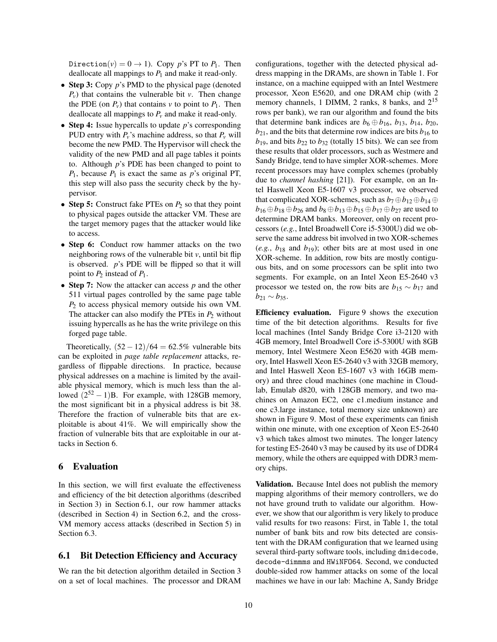Direction( $v$ ) = 0  $\rightarrow$  1). Copy *p*'s PT to *P*<sub>1</sub>. Then deallocate all mappings to  $P_1$  and make it read-only.

- Step 3: Copy *p*'s PMD to the physical page (denoted  $P_v$ ) that contains the vulnerable bit *v*. Then change the PDE (on  $P_v$ ) that contains *v* to point to  $P_1$ . Then deallocate all mappings to *P<sup>v</sup>* and make it read-only.
- Step 4: Issue hypercalls to update *p*'s corresponding PUD entry with  $P_v$ 's machine address, so that  $P_v$  will become the new PMD. The Hypervisor will check the validity of the new PMD and all page tables it points to. Although *p*'s PDE has been changed to point to  $P_1$ , because  $P_1$  is exact the same as *p*'s original PT, this step will also pass the security check by the hypervisor.
- Step 5: Construct fake PTEs on  $P_2$  so that they point to physical pages outside the attacker VM. These are the target memory pages that the attacker would like to access.
- Step 6: Conduct row hammer attacks on the two neighboring rows of the vulnerable bit *v*, until bit flip is observed. *p*'s PDE will be flipped so that it will point to *P*<sup>2</sup> instead of *P*1.
- Step 7: Now the attacker can access *p* and the other 511 virtual pages controlled by the same page table *P*<sup>2</sup> to access physical memory outside his own VM. The attacker can also modify the PTEs in  $P_2$  without issuing hypercalls as he has the write privilege on this forged page table.

Theoretically,  $(52 - 12)/64 = 62.5%$  vulnerable bits can be exploited in *page table replacement* attacks, regardless of flippable directions. In practice, because physical addresses on a machine is limited by the available physical memory, which is much less than the allowed  $(2^{52} – 1)B$ . For example, with 128GB memory, the most significant bit in a physical address is bit 38. Therefore the fraction of vulnerable bits that are exploitable is about 41%. We will empirically show the fraction of vulnerable bits that are exploitable in our attacks in Section 6.

#### 6 Evaluation

In this section, we will first evaluate the effectiveness and efficiency of the bit detection algorithms (described in Section 3) in Section 6.1, our row hammer attacks (described in Section 4) in Section 6.2, and the cross-VM memory access attacks (described in Section 5) in Section 6.3.

#### 6.1 Bit Detection Efficiency and Accuracy

We ran the bit detection algorithm detailed in Section 3 on a set of local machines. The processor and DRAM configurations, together with the detected physical address mapping in the DRAMs, are shown in Table 1. For instance, on a machine equipped with an Intel Westmere processor, Xeon E5620, and one DRAM chip (with 2 memory channels, 1 DIMM, 2 ranks, 8 banks, and 2<sup>15</sup> rows per bank), we ran our algorithm and found the bits that determine bank indices are  $b_6 \oplus b_{16}$ ,  $b_{13}$ ,  $b_{14}$ ,  $b_{20}$ ,  $b_{21}$ , and the bits that determine row indices are bits  $b_{16}$  to  $b_{19}$ , and bits  $b_{22}$  to  $b_{32}$  (totally 15 bits). We can see from these results that older processors, such as Westmere and Sandy Bridge, tend to have simpler XOR-schemes. More recent processors may have complex schemes (probably due to *channel hashing* [21]). For example, on an Intel Haswell Xeon E5-1607 v3 processor, we observed that complicated XOR-schemes, such as  $b_7 \oplus b_{12} \oplus b_{14} \oplus$ *b*<sub>16</sub> ⊕*b*<sub>18</sub> ⊕*b*<sub>26</sub> and *b*<sub>8</sub> ⊕ *b*<sub>13</sub> ⊕ *b*<sub>15</sub> ⊕ *b*<sub>17</sub> ⊕ *b*<sub>27</sub> are used to determine DRAM banks. Moreover, only on recent processors (*e.g.*, Intel Broadwell Core i5-5300U) did we observe the same address bit involved in two XOR-schemes  $(e.g., b_{18}$  and  $b_{19})$ ; other bits are at most used in one XOR-scheme. In addition, row bits are mostly contiguous bits, and on some processors can be split into two segments. For example, on an Intel Xeon E5-2640 v3 processor we tested on, the row bits are  $b_{15} \sim b_{17}$  and  $b_{21}$  ∼  $b_{35}$ .

Efficiency evaluation. Figure 9 shows the execution time of the bit detection algorithms. Results for five local machines (Intel Sandy Bridge Core i3-2120 with 4GB memory, Intel Broadwell Core i5-5300U with 8GB memory, Intel Westmere Xeon E5620 with 4GB memory, Intel Haswell Xeon E5-2640 v3 with 32GB memory, and Intel Haswell Xeon E5-1607 v3 with 16GB memory) and three cloud machines (one machine in Cloudlab, Emulab d820, with 128GB memory, and two machines on Amazon EC2, one c1.medium instance and one c3.large instance, total memory size unknown) are shown in Figure 9. Most of these experiments can finish within one minute, with one exception of Xeon E5-2640 v3 which takes almost two minutes. The longer latency for testing E5-2640 v3 may be caused by its use of DDR4 memory, while the others are equipped with DDR3 memory chips.

Validation. Because Intel does not publish the memory mapping algorithms of their memory controllers, we do not have ground truth to validate our algorithm. However, we show that our algorithm is very likely to produce valid results for two reasons: First, in Table 1, the total number of bank bits and row bits detected are consistent with the DRAM configuration that we learned using several third-party software tools, including dmidecode, decode-dimmms and HWiNFO64. Second, we conducted double-sided row hammer attacks on some of the local machines we have in our lab: Machine A, Sandy Bridge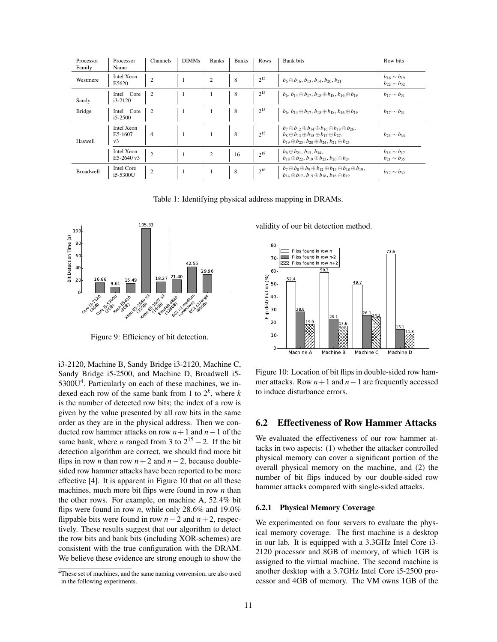| Processor<br>Family | Processor<br>Name                       | <b>Channels</b> | <b>DIMMs</b>   | Ranks          | <b>Banks</b> | Rows     | Bank bits                                                                                                                                                                                                                  | Row bits                                     |
|---------------------|-----------------------------------------|-----------------|----------------|----------------|--------------|----------|----------------------------------------------------------------------------------------------------------------------------------------------------------------------------------------------------------------------------|----------------------------------------------|
| Westmere            | Intel Xeon<br>E5620                     | $\overline{c}$  | $\overline{1}$ | 2              | 8            | $2^{15}$ | $b_6 \oplus b_{16}, b_{13}, b_{14}, b_{20}, b_{21}$                                                                                                                                                                        | $b_{16} \sim b_{19}$<br>$b_{22} \sim b_{32}$ |
| Sandy               | Core<br>Intel<br>$i3-2120$              | 2               | -1             |                | 8            | $2^{15}$ | $b_6, b_{14} \oplus b_{17}, b_{15} \oplus b_{18}, b_{16} \oplus b_{19}$                                                                                                                                                    | $b_{17} \sim b_{31}$                         |
| <b>Bridge</b>       | Core<br>Intel<br>$i5-2500$              | $\overline{c}$  | -1             |                | 8            | $2^{15}$ | $b_6, b_{14} \oplus b_{17}, b_{15} \oplus b_{18}, b_{16} \oplus b_{19}$                                                                                                                                                    | $b_{17} \sim b_{31}$                         |
| Haswell             | Intel Xeon<br>E5-1607<br>v <sub>3</sub> | 4               | -1             |                | 8            | $2^{15}$ | $b_7 \oplus b_{12} \oplus b_{14} \oplus b_{16} \oplus b_{18} \oplus b_{26}$<br>$b_8 \oplus b_{13} \oplus b_{15} \oplus b_{17} \oplus b_{27}$ ,<br>$b_{19} \oplus b_{23}$ , $b_{20} \oplus b_{24}$ , $b_{21} \oplus b_{25}$ | $b_{23} \sim b_{34}$                         |
|                     | Intel Xeon<br>E5-2640 v3                | $\overline{2}$  | 1              | $\overline{2}$ | 16           | $2^{18}$ | $b_6 \oplus b_{21}$ , $b_{13}$ , $b_{34}$ ,<br>$b_{18} \oplus b_{22}$ , $b_{19} \oplus b_{23}$ , $b_{20} \oplus b_{24}$                                                                                                    | $b_{15} \sim b_{17}$<br>$b_{21} \sim b_{35}$ |
| <b>Broadwell</b>    | Intel Core<br>i5-5300U                  | $\overline{c}$  | -1             | -1             | 8            | $2^{16}$ | $b_7 \oplus b_8 \oplus b_9 \oplus b_{12} \oplus b_{13} \oplus b_{18} \oplus b_{19}$<br>$b_{14} \oplus b_{17}$ , $b_{15} \oplus b_{18}$ , $b_{16} \oplus b_{19}$                                                            | $b_{17} \sim b_{32}$                         |

Table 1: Identifying physical address mapping in DRAMs.



Figure 9: Efficiency of bit detection.

i3-2120, Machine B, Sandy Bridge i3-2120, Machine C, Sandy Bridge i5-2500, and Machine D, Broadwell i5-  $5300U<sup>4</sup>$ . Particularly on each of these machines, we indexed each row of the same bank from 1 to  $2^k$ , where *k* is the number of detected row bits; the index of a row is given by the value presented by all row bits in the same order as they are in the physical address. Then we conducted row hammer attacks on row *n*+1 and *n*−1 of the same bank, where *n* ranged from 3 to  $2^{15} - 2$ . If the bit detection algorithm are correct, we should find more bit flips in row *n* than row  $n+2$  and  $n-2$ , because doublesided row hammer attacks have been reported to be more effective [4]. It is apparent in Figure 10 that on all these machines, much more bit flips were found in row *n* than the other rows. For example, on machine A, 52.4% bit flips were found in row *n*, while only 28.6% and 19.0% flippable bits were found in row  $n-2$  and  $n+2$ , respectively. These results suggest that our algorithm to detect the row bits and bank bits (including XOR-schemes) are consistent with the true configuration with the DRAM. We believe these evidence are strong enough to show the validity of our bit detection method.



Figure 10: Location of bit flips in double-sided row hammer attacks. Row *n*+1 and *n*−1 are frequently accessed to induce disturbance errors.

## 6.2 Effectiveness of Row Hammer Attacks

We evaluated the effectiveness of our row hammer attacks in two aspects: (1) whether the attacker controlled physical memory can cover a significant portion of the overall physical memory on the machine, and (2) the number of bit flips induced by our double-sided row hammer attacks compared with single-sided attacks.

#### 6.2.1 Physical Memory Coverage

We experimented on four servers to evaluate the physical memory coverage. The first machine is a desktop in our lab. It is equipped with a 3.3GHz Intel Core i3- 2120 processor and 8GB of memory, of which 1GB is assigned to the virtual machine. The second machine is another desktop with a 3.7GHz Intel Core i5-2500 processor and 4GB of memory. The VM owns 1GB of the

<sup>&</sup>lt;sup>4</sup>These set of machines, and the same naming convension, are also used in the following experiments.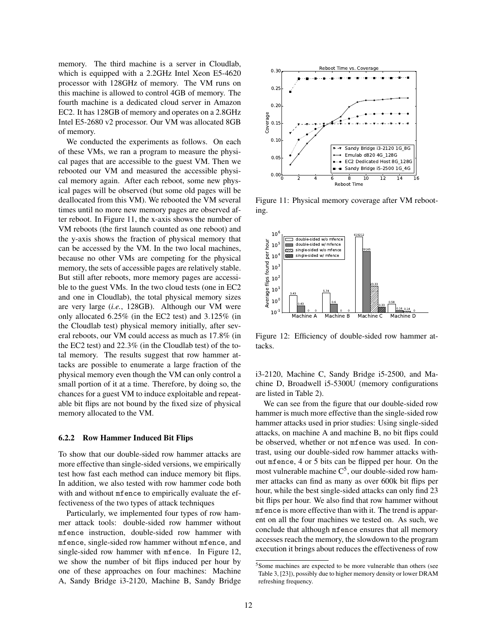memory. The third machine is a server in Cloudlab, which is equipped with a 2.2GHz Intel Xeon E5-4620 processor with 128GHz of memory. The VM runs on this machine is allowed to control 4GB of memory. The fourth machine is a dedicated cloud server in Amazon EC2. It has 128GB of memory and operates on a 2.8GHz Intel E5-2680 v2 processor. Our VM was allocated 8GB of memory.

We conducted the experiments as follows. On each of these VMs, we ran a program to measure the physical pages that are accessible to the guest VM. Then we rebooted our VM and measured the accessible physical memory again. After each reboot, some new physical pages will be observed (but some old pages will be deallocated from this VM). We rebooted the VM several times until no more new memory pages are observed after reboot. In Figure 11, the x-axis shows the number of VM reboots (the first launch counted as one reboot) and the y-axis shows the fraction of physical memory that can be accessed by the VM. In the two local machines, because no other VMs are competing for the physical memory, the sets of accessible pages are relatively stable. But still after reboots, more memory pages are accessible to the guest VMs. In the two cloud tests (one in EC2 and one in Cloudlab), the total physical memory sizes are very large (*i.e.*, 128GB). Although our VM were only allocated 6.25% (in the EC2 test) and 3.125% (in the Cloudlab test) physical memory initially, after several reboots, our VM could access as much as 17.8% (in the EC2 test) and 22.3% (in the Cloudlab test) of the total memory. The results suggest that row hammer attacks are possible to enumerate a large fraction of the physical memory even though the VM can only control a small portion of it at a time. Therefore, by doing so, the chances for a guest VM to induce exploitable and repeatable bit flips are not bound by the fixed size of physical memory allocated to the VM.

#### 6.2.2 Row Hammer Induced Bit Flips

To show that our double-sided row hammer attacks are more effective than single-sided versions, we empirically test how fast each method can induce memory bit flips. In addition, we also tested with row hammer code both with and without mfence to empirically evaluate the effectiveness of the two types of attack techniques

Particularly, we implemented four types of row hammer attack tools: double-sided row hammer without mfence instruction, double-sided row hammer with mfence, single-sided row hammer without mfence, and single-sided row hammer with mfence. In Figure 12, we show the number of bit flips induced per hour by one of these approaches on four machines: Machine A, Sandy Bridge i3-2120, Machine B, Sandy Bridge



Figure 11: Physical memory coverage after VM rebooting.



Figure 12: Efficiency of double-sided row hammer attacks.

i3-2120, Machine C, Sandy Bridge i5-2500, and Machine D, Broadwell i5-5300U (memory configurations are listed in Table 2).

We can see from the figure that our double-sided row hammer is much more effective than the single-sided row hammer attacks used in prior studies: Using single-sided attacks, on machine A and machine B, no bit flips could be observed, whether or not mfence was used. In contrast, using our double-sided row hammer attacks without mfence, 4 or 5 bits can be flipped per hour. On the most vulnerable machine  $C^5$ , our double-sided row hammer attacks can find as many as over 600k bit flips per hour, while the best single-sided attacks can only find 23 bit flips per hour. We also find that row hammer without mfence is more effective than with it. The trend is apparent on all the four machines we tested on. As such, we conclude that although mfence ensures that all memory accesses reach the memory, the slowdown to the program execution it brings about reduces the effectiveness of row

<sup>5</sup>Some machines are expected to be more vulnerable than others (see Table 3, [23]), possibly due to higher memory density or lower DRAM refreshing frequency.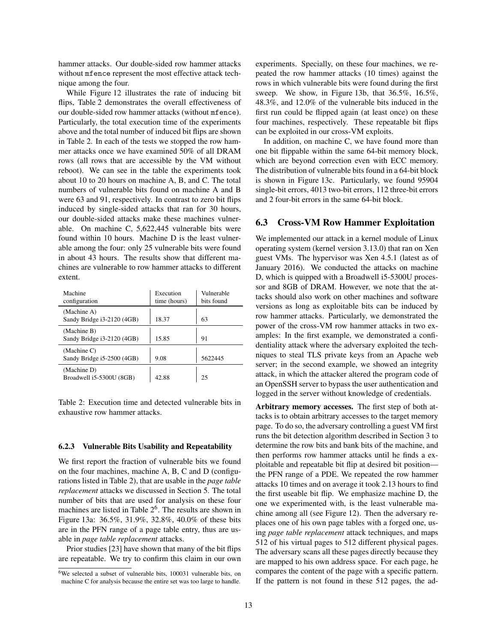hammer attacks. Our double-sided row hammer attacks without mfence represent the most effective attack technique among the four.

While Figure 12 illustrates the rate of inducing bit flips, Table 2 demonstrates the overall effectiveness of our double-sided row hammer attacks (without mfence). Particularly, the total execution time of the experiments above and the total number of induced bit flips are shown in Table 2. In each of the tests we stopped the row hammer attacks once we have examined 50% of all DRAM rows (all rows that are accessible by the VM without reboot). We can see in the table the experiments took about 10 to 20 hours on machine A, B, and C. The total numbers of vulnerable bits found on machine A and B were 63 and 91, respectively. In contrast to zero bit flips induced by single-sided attacks that ran for 30 hours, our double-sided attacks make these machines vulnerable. On machine C, 5,622,445 vulnerable bits were found within 10 hours. Machine D is the least vulnerable among the four: only 25 vulnerable bits were found in about 43 hours. The results show that different machines are vulnerable to row hammer attacks to different extent.

| Machine<br>configuration                  | Execution<br>time (hours) | Vulnerable<br>bits found |
|-------------------------------------------|---------------------------|--------------------------|
| (Machine A)<br>Sandy Bridge i3-2120 (4GB) | 18.37                     | 63                       |
| (Machine B)<br>Sandy Bridge i3-2120 (4GB) | 15.85                     | 91                       |
| (Machine C)<br>Sandy Bridge i5-2500 (4GB) | 9.08                      | 5622445                  |
| (Machine D)<br>Broadwell i5-5300U (8GB)   | 42.88                     | 25                       |

Table 2: Execution time and detected vulnerable bits in exhaustive row hammer attacks.

#### 6.2.3 Vulnerable Bits Usability and Repeatability

We first report the fraction of vulnerable bits we found on the four machines, machine A, B, C and D (configurations listed in Table 2), that are usable in the *page table replacement* attacks we discussed in Section 5. The total number of bits that are used for analysis on these four machines are listed in Table  $2<sup>6</sup>$ . The results are shown in Figure 13a: 36.5%, 31.9%, 32.8%, 40.0% of these bits are in the PFN range of a page table entry, thus are usable in *page table replacement* attacks.

Prior studies [23] have shown that many of the bit flips are repeatable. We try to confirm this claim in our own experiments. Specially, on these four machines, we repeated the row hammer attacks (10 times) against the rows in which vulnerable bits were found during the first sweep. We show, in Figure 13b, that 36.5%, 16.5%, 48.3%, and 12.0% of the vulnerable bits induced in the first run could be flipped again (at least once) on these four machines, respectively. These repeatable bit flips can be exploited in our cross-VM exploits.

In addition, on machine C, we have found more than one bit flippable within the same 64-bit memory block, which are beyond correction even with ECC memory. The distribution of vulnerable bits found in a 64-bit block is shown in Figure 13c. Particularly, we found 95904 single-bit errors, 4013 two-bit errors, 112 three-bit errors and 2 four-bit errors in the same 64-bit block.

#### 6.3 Cross-VM Row Hammer Exploitation

We implemented our attack in a kernel module of Linux operating system (kernel version 3.13.0) that ran on Xen guest VMs. The hypervisor was Xen 4.5.1 (latest as of January 2016). We conducted the attacks on machine D, which is quipped with a Broadwell i5-5300U processor and 8GB of DRAM. However, we note that the attacks should also work on other machines and software versions as long as exploitable bits can be induced by row hammer attacks. Particularly, we demonstrated the power of the cross-VM row hammer attacks in two examples: In the first example, we demonstrated a confidentiality attack where the adversary exploited the techniques to steal TLS private keys from an Apache web server; in the second example, we showed an integrity attack, in which the attacker altered the program code of an OpenSSH server to bypass the user authentication and logged in the server without knowledge of credentials.

Arbitrary memory accesses. The first step of both attacks is to obtain arbitrary accesses to the target memory page. To do so, the adversary controlling a guest VM first runs the bit detection algorithm described in Section 3 to determine the row bits and bank bits of the machine, and then performs row hammer attacks until he finds a exploitable and repeatable bit flip at desired bit position the PFN range of a PDE. We repeated the row hammer attacks 10 times and on average it took 2.13 hours to find the first useable bit flip. We emphasize machine D, the one we experimented with, is the least vulnerable machine among all (see Figure 12). Then the adversary replaces one of his own page tables with a forged one, using *page table replacement* attack techniques, and maps 512 of his virtual pages to 512 different physical pages. The adversary scans all these pages directly because they are mapped to his own address space. For each page, he compares the content of the page with a specific pattern. If the pattern is not found in these 512 pages, the ad-

 $6$ We selected a subset of vulnerable bits, 100031 vulnerable bits, on machine C for analysis because the entire set was too large to handle.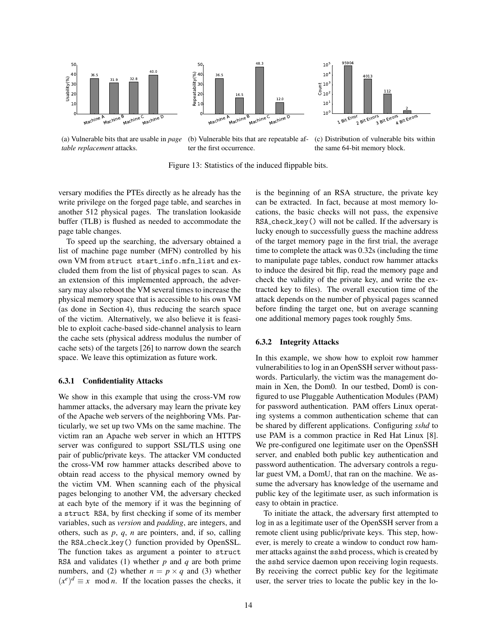





(a) Vulnerable bits that are usable in *page table replacement* attacks.

(b) Vulnerable bits that are repeatable after the first occurrence.

(c) Distribution of vulnerable bits within the same 64-bit memory block.

Figure 13: Statistics of the induced flippable bits.

versary modifies the PTEs directly as he already has the write privilege on the forged page table, and searches in another 512 physical pages. The translation lookaside buffer (TLB) is flushed as needed to accommodate the page table changes.

To speed up the searching, the adversary obtained a list of machine page number (MFN) controlled by his own VM from struct start\_info.mfn\_list and excluded them from the list of physical pages to scan. As an extension of this implemented approach, the adversary may also reboot the VM several times to increase the physical memory space that is accessible to his own VM (as done in Section 4), thus reducing the search space of the victim. Alternatively, we also believe it is feasible to exploit cache-based side-channel analysis to learn the cache sets (physical address modulus the number of cache sets) of the targets [26] to narrow down the search space. We leave this optimization as future work.

#### 6.3.1 Confidentiality Attacks

We show in this example that using the cross-VM row hammer attacks, the adversary may learn the private key of the Apache web servers of the neighboring VMs. Particularly, we set up two VMs on the same machine. The victim ran an Apache web server in which an HTTPS server was configured to support SSL/TLS using one pair of public/private keys. The attacker VM conducted the cross-VM row hammer attacks described above to obtain read access to the physical memory owned by the victim VM. When scanning each of the physical pages belonging to another VM, the adversary checked at each byte of the memory if it was the beginning of a struct RSA, by first checking if some of its member variables, such as *version* and *padding*, are integers, and others, such as *p*, *q*, *n* are pointers, and, if so, calling the RSA check key() function provided by OpenSSL. The function takes as argument a pointer to struct RSA and validates (1) whether *p* and *q* are both prime numbers, and (2) whether  $n = p \times q$  and (3) whether  $(x^e)^d \equiv x \mod n$ . If the location passes the checks, it is the beginning of an RSA structure, the private key can be extracted. In fact, because at most memory locations, the basic checks will not pass, the expensive RSA\_check\_key() will not be called. If the adversary is lucky enough to successfully guess the machine address of the target memory page in the first trial, the average time to complete the attack was 0.32s (including the time to manipulate page tables, conduct row hammer attacks to induce the desired bit flip, read the memory page and check the validity of the private key, and write the extracted key to files). The overall execution time of the attack depends on the number of physical pages scanned before finding the target one, but on average scanning one additional memory pages took roughly 5ms.

#### 6.3.2 Integrity Attacks

In this example, we show how to exploit row hammer vulnerabilities to log in an OpenSSH server without passwords. Particularly, the victim was the management domain in Xen, the Dom0. In our testbed, Dom0 is configured to use Pluggable Authentication Modules (PAM) for password authentication. PAM offers Linux operating systems a common authentication scheme that can be shared by different applications. Configuring *sshd* to use PAM is a common practice in Red Hat Linux [8]. We pre-configured one legitimate user on the OpenSSH server, and enabled both public key authentication and password authentication. The adversary controls a regular guest VM, a DomU, that ran on the machine. We assume the adversary has knowledge of the username and public key of the legitimate user, as such information is easy to obtain in practice.

To initiate the attack, the adversary first attempted to log in as a legitimate user of the OpenSSH server from a remote client using public/private keys. This step, however, is merely to create a window to conduct row hammer attacks against the sshd process, which is created by the sshd service daemon upon receiving login requests. By receiving the correct public key for the legitimate user, the server tries to locate the public key in the lo-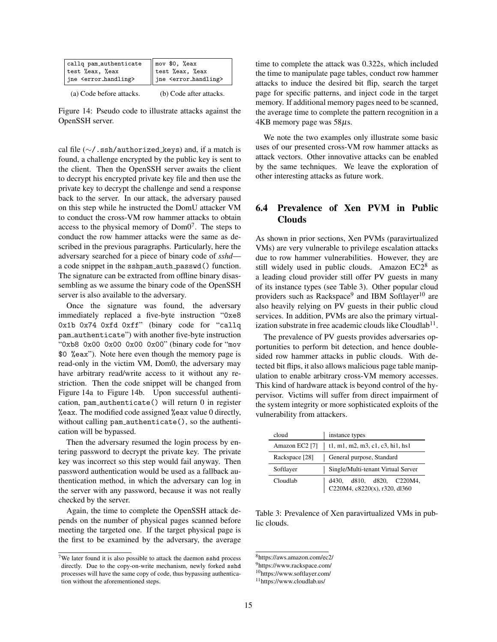| callg pam_authenticate                | $\parallel$ mov \$0, %eax             |
|---------------------------------------|---------------------------------------|
| test %eax, %eax                       | test %eax, %eax                       |
| jne <error_handling></error_handling> | jne <error_handling></error_handling> |
|                                       |                                       |

| (a) Code before attacks. | (b) Code after attacks. |
|--------------------------|-------------------------|
|--------------------------|-------------------------|

Figure 14: Pseudo code to illustrate attacks against the OpenSSH server.

cal file (∼/.ssh/authorized keys) and, if a match is found, a challenge encrypted by the public key is sent to the client. Then the OpenSSH server awaits the client to decrypt his encrypted private key file and then use the private key to decrypt the challenge and send a response back to the server. In our attack, the adversary paused on this step while he instructed the DomU attacker VM to conduct the cross-VM row hammer attacks to obtain access to the physical memory of  $Dom<sup>7</sup>$ . The steps to conduct the row hammer attacks were the same as described in the previous paragraphs. Particularly, here the adversary searched for a piece of binary code of *sshd* a code snippet in the sshpam auth passwd() function. The signature can be extracted from offline binary disassembling as we assume the binary code of the OpenSSH server is also available to the adversary.

Once the signature was found, the adversary immediately replaced a five-byte instruction "0xe8 0x1b 0x74 0xfd 0xff" (binary code for "callq pam authenticate") with another five-byte instruction "0xb8 0x00 0x00 0x00 0x00" (binary code for "mov \$0 %eax"). Note here even though the memory page is read-only in the victim VM, Dom0, the adversary may have arbitrary read/write access to it without any restriction. Then the code snippet will be changed from Figure 14a to Figure 14b. Upon successful authentication, pam authenticate() will return 0 in register %eax. The modified code assigned %eax value 0 directly, without calling pam\_authenticate(), so the authentication will be bypassed.

Then the adversary resumed the login process by entering password to decrypt the private key. The private key was incorrect so this step would fail anyway. Then password authentication would be used as a fallback authentication method, in which the adversary can log in the server with any password, because it was not really checked by the server.

Again, the time to complete the OpenSSH attack depends on the number of physical pages scanned before meeting the targeted one. If the target physical page is the first to be examined by the adversary, the average time to complete the attack was 0.322s, which included the time to manipulate page tables, conduct row hammer attacks to induce the desired bit flip, search the target page for specific patterns, and inject code in the target memory. If additional memory pages need to be scanned, the average time to complete the pattern recognition in a  $4KB$  memory page was  $58\mu s$ .

We note the two examples only illustrate some basic uses of our presented cross-VM row hammer attacks as attack vectors. Other innovative attacks can be enabled by the same techniques. We leave the exploration of other interesting attacks as future work.

# 6.4 Prevalence of Xen PVM in Public Clouds

As shown in prior sections, Xen PVMs (paravirtualized VMs) are very vulnerable to privilege escalation attacks due to row hammer vulnerabilities. However, they are still widely used in public clouds. Amazon EC2<sup>8</sup> as a leading cloud provider still offer PV guests in many of its instance types (see Table 3). Other popular cloud providers such as Rackspace<sup>9</sup> and IBM Softlayer<sup>10</sup> are also heavily relying on PV guests in their public cloud services. In addition, PVMs are also the primary virtualization substrate in free academic clouds like Cloudlab $^{11}$ .

The prevalence of PV guests provides adversaries opportunities to perform bit detection, and hence doublesided row hammer attacks in public clouds. With detected bit flips, it also allows malicious page table manipulation to enable arbitrary cross-VM memory accesses. This kind of hardware attack is beyond control of the hypervisor. Victims will suffer from direct impairment of the system integrity or more sophisticated exploits of the vulnerability from attackers.

| cloud                  | instance types                                             |
|------------------------|------------------------------------------------------------|
| Amazon EC2 [7] $\vert$ | t1, m1, m2, m3, c1, c3, hi1, hs1                           |
| Rackspace [28]         | General purpose, Standard                                  |
| Softlayer              | Single/Multi-tenant Virtual Server                         |
| Cloudlab               | d430, d810, d820, C220M4,<br>C220M4, c8220(x), r320, d1360 |

Table 3: Prevalence of Xen paravirtualized VMs in public clouds.

<sup>&</sup>lt;sup>7</sup>We later found it is also possible to attack the daemon sshd process directly. Due to the copy-on-write mechanism, newly forked sshd processes will have the same copy of code, thus bypassing authentication without the aforementioned steps.

<sup>8</sup>https://aws.amazon.com/ec2/

<sup>9</sup>https://www.rackspace.com/

<sup>10</sup>https://www.softlayer.com/

<sup>11</sup>https://www.cloudlab.us/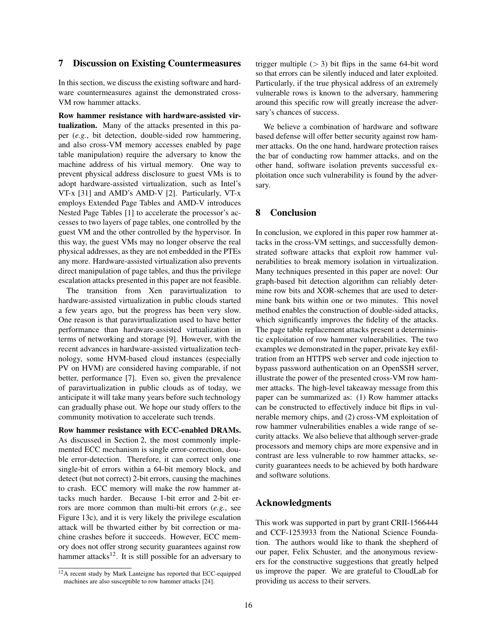#### 7 Discussion on Existing Countermeasures

In this section, we discuss the existing software and hardware countermeasures against the demonstrated cross-VM row hammer attacks.

Row hammer resistance with hardware-assisted virtualization. Many of the attacks presented in this paper (*e.g.*, bit detection, double-sided row hammering, and also cross-VM memory accesses enabled by page table manipulation) require the adversary to know the machine address of his virtual memory. One way to prevent physical address disclosure to guest VMs is to adopt hardware-assisted virtualization, such as Intel's VT-x [31] and AMD's AMD-V [2]. Particularly, VT-x employs Extended Page Tables and AMD-V introduces Nested Page Tables [1] to accelerate the processor's accesses to two layers of page tables, one controlled by the guest VM and the other controlled by the hypervisor. In this way, the guest VMs may no longer observe the real physical addresses, as they are not embedded in the PTEs any more. Hardware-assisted virtualization also prevents direct manipulation of page tables, and thus the privilege escalation attacks presented in this paper are not feasible.

The transition from Xen paravirtualization to hardware-assisted virtualization in public clouds started a few years ago, but the progress has been very slow. One reason is that paravirtualization used to have better performance than hardware-assisted virtualization in terms of networking and storage [9]. However, with the recent advances in hardware-assisted virtualization technology, some HVM-based cloud instances (especially PV on HVM) are considered having comparable, if not better, performance [7]. Even so, given the prevalence of paravirtualization in public clouds as of today, we anticipate it will take many years before such technology can gradually phase out. We hope our study offers to the community motivation to accelerate such trends.

Row hammer resistance with ECC-enabled DRAMs. As discussed in Section 2, the most commonly implemented ECC mechanism is single error-correction, double error-detection. Therefore, it can correct only one single-bit of errors within a 64-bit memory block, and detect (but not correct) 2-bit errors, causing the machines to crash. ECC memory will make the row hammer attacks much harder. Because 1-bit error and 2-bit errors are more common than multi-bit errors (*e.g.*, see Figure 13c), and it is very likely the privilege escalation attack will be thwarted either by bit correction or machine crashes before it succeeds. However, ECC memory does not offer strong security guarantees against row hammer attacks<sup>12</sup>. It is still possible for an adversary to trigger multiple  $(> 3)$  bit flips in the same 64-bit word so that errors can be silently induced and later exploited. Particularly, if the true physical address of an extremely vulnerable rows is known to the adversary, hammering around this specific row will greatly increase the adversary's chances of success.

We believe a combination of hardware and software based defense will offer better security against row hammer attacks. On the one hand, hardware protection raises the bar of conducting row hammer attacks, and on the other hand, software isolation prevents successful exploitation once such vulnerability is found by the adversary.

#### 8 Conclusion

In conclusion, we explored in this paper row hammer attacks in the cross-VM settings, and successfully demonstrated software attacks that exploit row hammer vulnerabilities to break memory isolation in virtualization. Many techniques presented in this paper are novel: Our graph-based bit detection algorithm can reliably determine row bits and XOR-schemes that are used to determine bank bits within one or two minutes. This novel method enables the construction of double-sided attacks, which significantly improves the fidelity of the attacks. The page table replacement attacks present a deterministic exploitation of row hammer vulnerabilities. The two examples we demonstrated in the paper, private key exfiltration from an HTTPS web server and code injection to bypass password authentication on an OpenSSH server, illustrate the power of the presented cross-VM row hammer attacks. The high-level takeaway message from this paper can be summarized as: (1) Row hammer attacks can be constructed to effectively induce bit flips in vulnerable memory chips, and (2) cross-VM exploitation of row hammer vulnerabilities enables a wide range of security attacks. We also believe that although server-grade processors and memory chips are more expensive and in contrast are less vulnerable to row hammer attacks, security guarantees needs to be achieved by both hardware and software solutions.

## Acknowledgments

This work was supported in part by grant CRII-1566444 and CCF-1253933 from the National Science Foundation. The authors would like to thank the shepherd of our paper, Felix Schuster, and the anonymous reviewers for the constructive suggestions that greatly helped us improve the paper. We are grateful to CloudLab for providing us access to their servers.

 $12A$  recent study by Mark Lanteigne has reported that ECC-equipped machines are also susceptible to row hammer attacks [24].